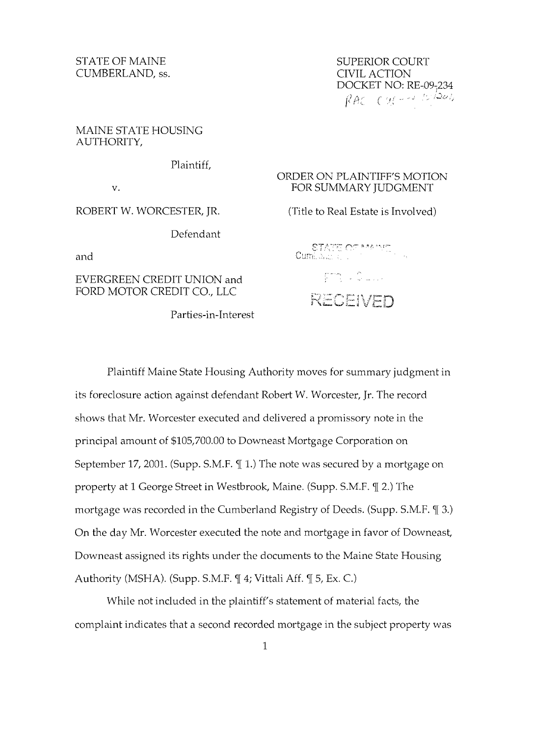CUMBERLAND, ss. CIVIL ACTION

MAINE STATE HOUSING AUTHORITY,

Plaintiff,

Defendant

EVERGREEN CREDIT UNION and FORD MOTOR CREDIT CO., LLC

Parties-in-Interest

STATE OF MAINE STATE OF MAINE DOCKET NO: RE-09-234  $RAC$  CM-2 1.1001

## ORDER ON PLAINTIFFS MOTION v. FOR SUMMARY JUDGMENT

ROBERT W. WORCESTER, JR. (Title to Real Estate is Involved)

s-r/~,,~:l'~~-: **r"** :.... r\ ,".1:; --', r; and  $\qquad \qquad {\sf Cuml}, \omega, \omega$ 

> gring in Chapter RECEIVED

Plaintiff Maine State Housing Authority moves for summary judgment in *its* foreclosure action against defendant Robert W. Worcester, Jr. The record shows that Mr. Worcester executed and delivered a promissory note in the principal amount of \$105,700.00 to Downeast Mortgage Corporation on September 17, 2001. (Supp. S.M.F.  $\parallel$  1.) The note was secured by a mortgage on property at 1 George Street in Westbrook, Maine. (Supp. S.M.F.  $\mathcal{I}$  2.) The mortgage was recorded in the Cumberland Registry of Deeds. (Supp. S.M.F.  $\mathcal{T}$  3.) On the day Mr. Worcester executed the note and mortgage in favor of Downeast, Downeast assigned its rights under the documents to the Maine State Housing Authority (MSHA). (Supp. S.M.F.  $\P$  4; Vittali Aff.  $\P$  5, Ex. C.)

While not included in the plaintiff's statement of material facts, the complaint indicates that a second recorded mortgage in the subject property was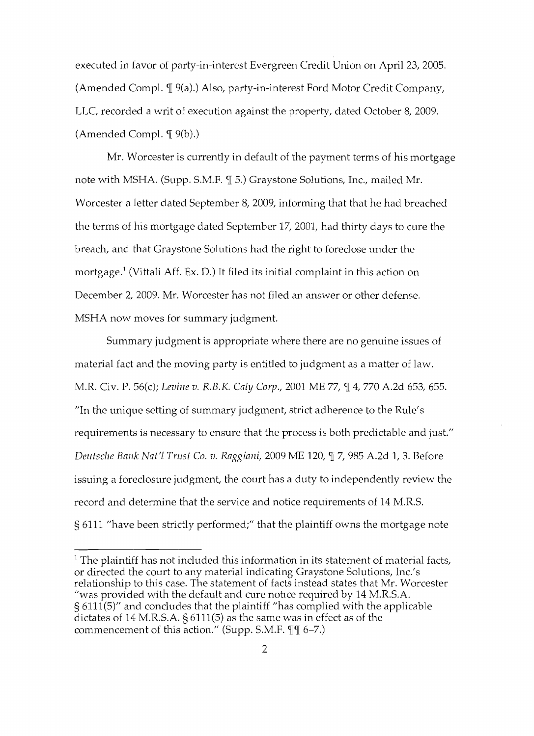executed in favor of party-in-interest Evergreen Credit Union on April 23, 2005. (Amended Compl.  $\P$  9(a).) Also, party-in-interest Ford Motor Credit Company, LLC, recorded a writ of execution against the property, dated October 8, 2009. (Amended Compl.  $\P$  9(b).)

Mr. Worcester is currently in default of the payment terms of his mortgage note with MSHA. (Supp. S.M.F.  $\P$  5.) Graystone Solutions, Inc., mailed Mr. Worcester a letter dated September 8, 2009, informing that that he had breached the terms of his mortgage dated September 17, 2001, had thirty days to cure the breach, and that Graystone Solutions had the right to foreclose under the mortgage.' (Vittali Aff. Ex. D.) It filed its initial complaint in this action on December 2, 2009. Mr. Worcester has not filed an answer or other defense. MSHA now moves for summary judgment.

Summary judgment is appropriate where there are no genuine issues of material fact and the moving party is entitled to judgment as a matter of law. M.R. Civ. P. 56(c); Levine v. R.B.K. Caly Corp., 2001 ME 77,  $\P$  4, 770 A.2d 653, 655. "In the unique setting of summary judgment, strict adherence to the Rule's requirements is necessary to ensure that the process is both predictable and just." *Deutsche Bank Nat'l Trust* Co. *v. Raggiani,* 2009 ME 120, 17, 985 A.2d 1, 3. Before issuing a foreclosure judgment, the court has a duty to independently review the record and determine that the service and notice requirements of 14 M.R.S. § 6111 "have been strictly performed;" that the plaintiff owns the mortgage note

 $<sup>1</sup>$  The plaintiff has not included this information in its statement of material facts,</sup> or directed the court to any material indicating Graystone Solutions, Inc.'s relationship to this case. The statement of facts instead states that Mr. Worcester "was provided with the default and cure notice required by 14 M.R.S.A. § 6111(5)" and concludes that the plaintiff "has complied with the applicable dictates of 14 M.R.S.A. § 6111(5) as the same was in effect as of the commencement of this action." (Supp. S.M.F.  $\P\P$  $[$  6-7.)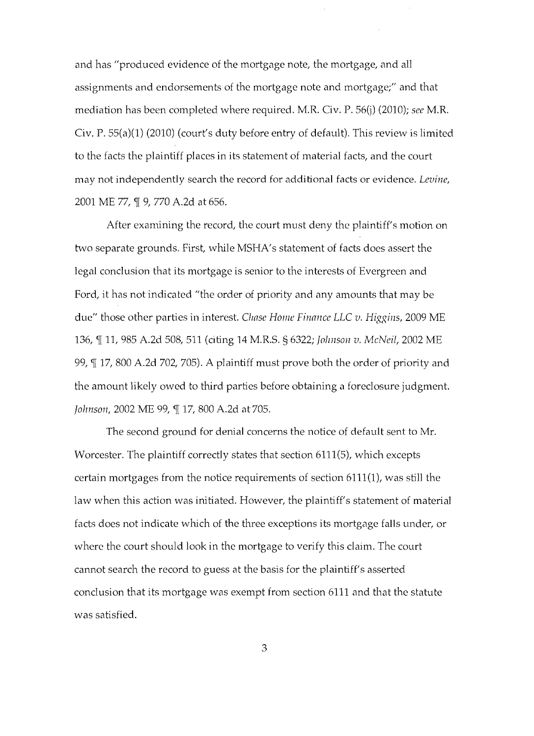and has "produced evidence of the mortgage note, the mortgage, and all assignments and endorsements of the mortgage note and mortgage;" and that mediation has been completed where required. M.R. Civ. P. 56(j) (2010); *see* M.R. Civ. P. 55(a)(1) (2010) (court's duty before entry of default). This review is limited to the facts the plaintiff places in its statement of material facts, and the court may not independently search the record for additional facts or evidence. *Levine,*  2001 ME 77,  $\mathbb{I}$  9, 770 A.2d at 656.

After examining the record, the court must deny the plaintiff's motion on two separate grounds. First, while MSHA's statement of facts does assert the legal conclusion that its mortgage is senior to the interests of Evergreen and Ford, it has not indicated "the order of priority and any amounts that may be due" those other parties in interest. *Chase Home Finance LLC v. Higgins,* 2009 ME 136, ¶ 11, 985 A.2d 508, 511 (citing 14 M.R.S. § 6322; *Johnson v. McNeil*, 2002 ME 99,  $\text{T}$  17, 800 A.2d 702, 705). A plaintiff must prove both the order of priority and the amount likely owed to third parties before obtaining a foreclosure judgment. *Johnson, 2002 ME 99, ¶ 17, 800 A.2d at 705.* 

The second ground for denial concerns the notice of default sent to Mr. Worcester. The plaintiff correctly states that section 6111(5), which excepts certain mortgages from the notice requirements of section  $6111(1)$ , was still the law when this action was initiated. However, the plaintiff's statement of material facts does not indicate which of the three exceptions its mortgage falls under, or where the court should look in the mortgage to verify this claim. The court cannot search the record to guess at the basis for the plaintiff's asserted conclusion that its mortgage was exempt from section 6111 and that the statute was satisfied.

3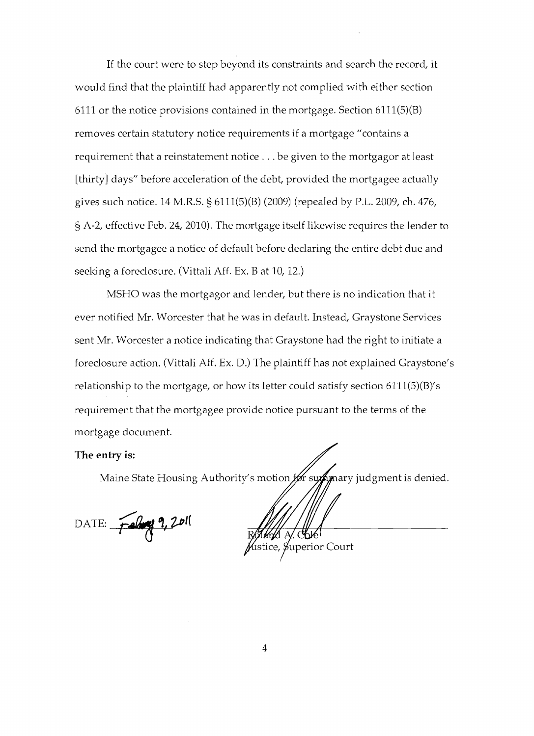If the court were to step beyond its constraints and search the record, it would find that the plaintiff had apparently not complied with either section 6111 or the notice provisions contained in the mortgage. Section 6111(5)(B) removes certain statutory notice requirements if a mortgage "contains a requirement that a reinstatement notice ... be given to the mortgagor at least [thirty] days" before acceleration of the debt, provided the mortgagee actually gives such notice. 14 M.R.S. § 6111(5)(B) (2009) (repealed by P.L. 2009, ch. 476, § A-2, effective Feb. 24, 2010). The mortgage itself likewise requires the lender to send the mortgagee a notice of default before declaring the entire debt due and seeking a foreclosure. (Vittali Aff. Ex. B at 10, 12.)

MSHO was the mortgagor and lender, but there is no indication that it ever notified Mr. Worcester that he was in default. Instead, Graystone Services sent Mr. Worcester a notice indicating that Graystone had the right to initiate a foreclosure action. (Vittali Aff. Ex. D.) The plaintiff has not explained Graystone's relationship to the mortgage, or how its letter could satisfy section 6111(5)(B)'s requirement that the mortgagee provide notice pursuant to the terms of the mortgage document.

## **The entry is:**

Maine State Housing Authority's motion for supprary judgment is denied.

DATE: February 9, 2011

Superior Court